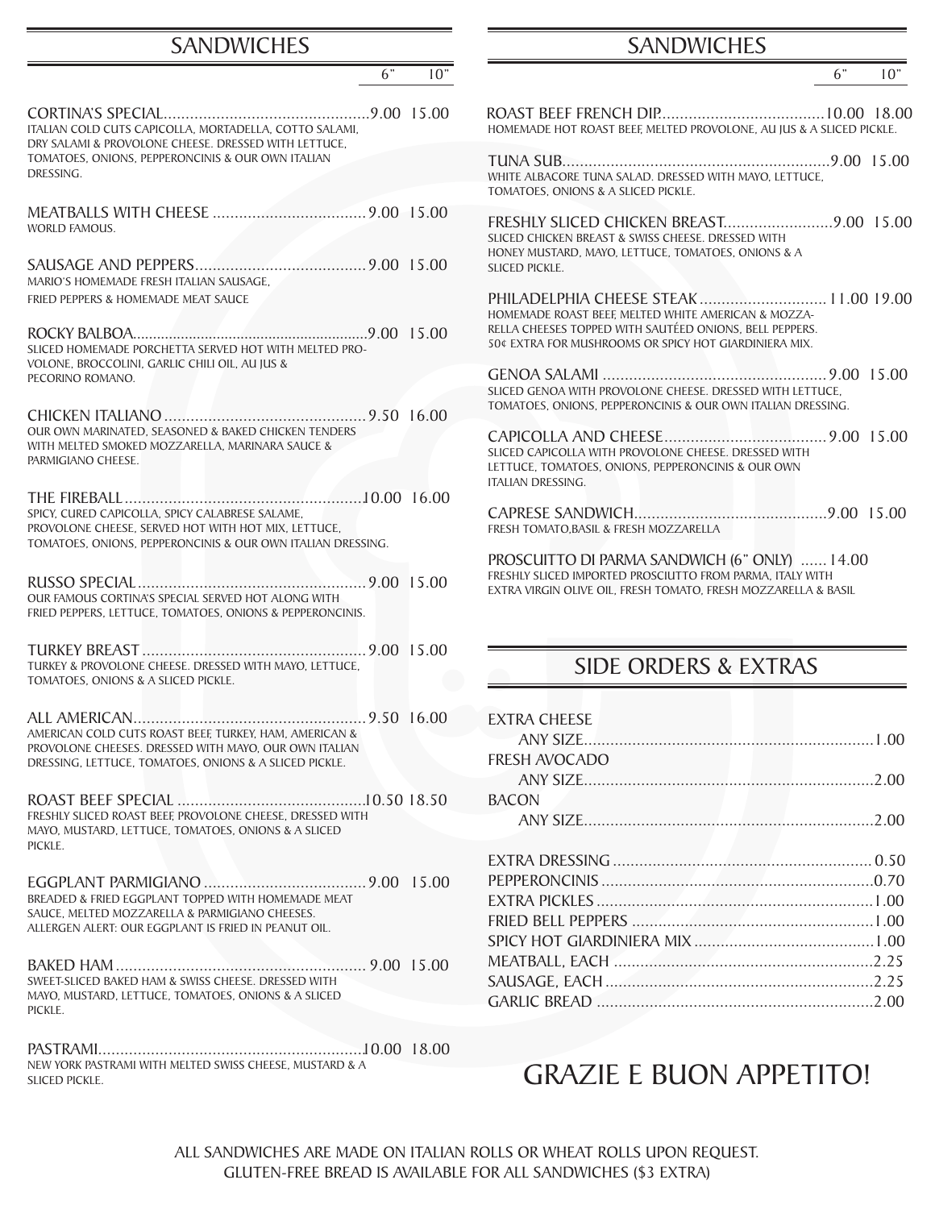#### **SANDWICHES**

| 6"                                                                                                                                                                        | 10" | 6"                                                                                                                                                                           | 10" |
|---------------------------------------------------------------------------------------------------------------------------------------------------------------------------|-----|------------------------------------------------------------------------------------------------------------------------------------------------------------------------------|-----|
|                                                                                                                                                                           |     |                                                                                                                                                                              |     |
| ITALIAN COLD CUTS CAPICOLLA, MORTADELLA, COTTO SALAMI,<br>DRY SALAMI & PROVOLONE CHEESE. DRESSED WITH LETTUCE,<br>TOMATOES, ONIONS, PEPPERONCINIS & OUR OWN ITALIAN       |     | HOMEMADE HOT ROAST BEEF, MELTED PROVOLONE, AU JUS & A SLICED PICKLE.                                                                                                         |     |
| DRESSING.                                                                                                                                                                 |     | WHITE ALBACORE TUNA SALAD. DRESSED WITH MAYO, LETTUCE,<br>TOMATOES, ONIONS & A SLICED PICKLE.                                                                                |     |
| <b>WORLD FAMOUS.</b>                                                                                                                                                      |     | SLICED CHICKEN BREAST & SWISS CHEESE. DRESSED WITH<br>HONEY MUSTARD, MAYO, LETTUCE, TOMATOES, ONIONS & A                                                                     |     |
| MARIO'S HOMEMADE FRESH ITALIAN SAUSAGE,                                                                                                                                   |     | SLICED PICKLE.                                                                                                                                                               |     |
| FRIED PEPPERS & HOMEMADE MEAT SAUCE                                                                                                                                       |     | PHILADELPHIA CHEESE STEAK 11.00 19.0<br>HOMEMADE ROAST BEEF, MELTED WHITE AMERICAN & MOZZA-                                                                                  |     |
| SLICED HOMEMADE PORCHETTA SERVED HOT WITH MELTED PRO-<br>VOLONE. BROCCOLINI. GARLIC CHILI OIL. AU IUS &                                                                   |     | RELLA CHEESES TOPPED WITH SAUTÉED ONIONS, BELL PEPPERS.<br>50¢ EXTRA FOR MUSHROOMS OR SPICY HOT GIARDINIERA MIX.                                                             |     |
| PECORINO ROMANO.                                                                                                                                                          |     | SLICED GENOA WITH PROVOLONE CHEESE. DRESSED WITH LETTUCE.                                                                                                                    |     |
|                                                                                                                                                                           |     | TOMATOES, ONIONS, PEPPERONCINIS & OUR OWN ITALIAN DRESSING.                                                                                                                  |     |
| OUR OWN MARINATED, SEASONED & BAKED CHICKEN TENDERS<br>WITH MELTED SMOKED MOZZARELLA. MARINARA SAUCE &<br>PARMIGIANO CHEESE.                                              |     | SLICED CAPICOLLA WITH PROVOLONE CHEESE. DRESSED WITH<br>LETTUCE, TOMATOES, ONIONS, PEPPERONCINIS & OUR OWN<br>ITALIAN DRESSING.                                              |     |
| SPICY, CURED CAPICOLLA, SPICY CALABRESE SALAME,<br>PROVOLONE CHEESE, SERVED HOT WITH HOT MIX, LETTUCE,<br>TOMATOES, ONIONS, PEPPERONCINIS & OUR OWN ITALIAN DRESSING.     |     | FRESH TOMATO, BASIL & FRESH MOZZARELLA                                                                                                                                       |     |
| OUR FAMOUS CORTINA'S SPECIAL SERVED HOT ALONG WITH<br>FRIED PEPPERS, LETTUCE, TOMATOES, ONIONS & PEPPERONCINIS.                                                           |     | PROSCUITTO DI PARMA SANDWICH (6" ONLY)  14.00<br>FRESHLY SLICED IMPORTED PROSCIUTTO FROM PARMA, ITALY WITH<br>EXTRA VIRGIN OLIVE OIL, FRESH TOMATO, FRESH MOZZARELLA & BASIL |     |
| TURKEY & PROVOLONE CHEESE. DRESSED WITH MAYO, LETTUCE,<br>TOMATOES, ONIONS & A SLICED PICKLE.                                                                             |     | <b>SIDE ORDERS &amp; EXTRAS</b>                                                                                                                                              |     |
|                                                                                                                                                                           |     | <b>EXTRA CHEESE</b>                                                                                                                                                          |     |
| AMERICAN COLD CUTS ROAST BEEF, TURKEY, HAM, AMERICAN &<br>PROVOLONE CHEESES. DRESSED WITH MAYO, OUR OWN ITALIAN<br>DRESSING, LETTUCE, TOMATOES, ONIONS & A SLICED PICKLE. |     | <b>FRESH AVOCADO</b>                                                                                                                                                         |     |
|                                                                                                                                                                           |     |                                                                                                                                                                              |     |
| FRESHLY SLICED ROAST BEEF, PROVOLONE CHEESE, DRESSED WITH<br>MAYO, MUSTARD, LETTUCE, TOMATOES, ONIONS & A SLICED                                                          |     | <b>BACON</b>                                                                                                                                                                 |     |
| PICKLE.                                                                                                                                                                   |     |                                                                                                                                                                              |     |
| BREADED & FRIED EGGPLANT TOPPED WITH HOMEMADE MEAT                                                                                                                        |     |                                                                                                                                                                              |     |
| SAUCE, MELTED MOZZARELLA & PARMIGIANO CHEESES.<br>ALLERGEN ALERT: OUR EGGPLANT IS FRIED IN PEANUT OIL.                                                                    |     |                                                                                                                                                                              |     |
|                                                                                                                                                                           |     |                                                                                                                                                                              |     |
|                                                                                                                                                                           |     |                                                                                                                                                                              |     |
| SWEET-SLICED BAKED HAM & SWISS CHEESE. DRESSED WITH<br>MAYO, MUSTARD, LETTUCE, TOMATOES, ONIONS & A SLICED<br>PICKLE.                                                     |     |                                                                                                                                                                              |     |
|                                                                                                                                                                           |     |                                                                                                                                                                              |     |

PASTRAMI.............................................................10.00 18.00 NEW YORK PASTRAMI WITH MELTED SWISS CHEESE, MUSTARD & A SLICED PICKLE.

#### SANDWICHES

|--|

#### SIDE ORDERS & EXTRAS

| <b>EXTRA CHEESE</b>  |  |
|----------------------|--|
|                      |  |
| <b>FRESH AVOCADO</b> |  |
|                      |  |
| <b>BACON</b>         |  |
|                      |  |
|                      |  |
|                      |  |
|                      |  |
|                      |  |
|                      |  |
|                      |  |
|                      |  |
|                      |  |
|                      |  |
|                      |  |

## GRAZIE E BUON APPETITO!

ALL SANDWICHES ARE MADE ON ITALIAN ROLLS OR WHEAT ROLLS UPON REQUEST. GLUTEN-FREE BREAD IS AVAILABLE FOR ALL SANDWICHES (\$3 EXTRA)